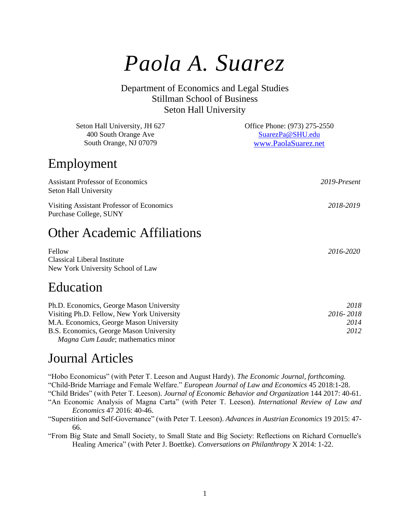# *Paola A. Suarez*

Department of Economics and Legal Studies Stillman School of Business Seton Hall University

| Seton Hall University, JH 627<br>400 South Orange Ave<br>South Orange, NJ 07079   | Office Phone: (973) 275-2550<br>SuarezPa@SHU.edu<br>www.PaolaSuarez.net |  |
|-----------------------------------------------------------------------------------|-------------------------------------------------------------------------|--|
| Employment                                                                        |                                                                         |  |
| <b>Assistant Professor of Economics</b><br>Seton Hall University                  | 2019-Present                                                            |  |
| Visiting Assistant Professor of Economics<br>Purchase College, SUNY               | 2018-2019                                                               |  |
| <b>Other Academic Affiliations</b>                                                |                                                                         |  |
| Fellow<br><b>Classical Liberal Institute</b><br>New York University School of Law | 2016-2020                                                               |  |
| Education                                                                         |                                                                         |  |
| Ph.D. Economics, George Mason University                                          | 2018                                                                    |  |

Visiting Ph.D. Fellow, New York University *2016- 2018* M.A. Economics, George Mason University *2014* B.S. Economics, George Mason University *2012 Magna Cum Laude*; mathematics minor

#### Journal Articles

"Hobo Economicus" (with Peter T. Leeson and August Hardy). *The Economic Journal, forthcoming.* "Child-Bride Marriage and Female Welfare." *European Journal of Law and Economics* 45 2018:1-28. "Child Brides" (with Peter T. Leeson). *Journal of Economic Behavior and Organization* 144 2017: 40-61.

"An Economic Analysis of Magna Carta" (with Peter T. Leeson). *International Review of Law and Economics* 47 2016: 40-46.

"Superstition and Self-Governance" (with Peter T. Leeson). *Advances in Austrian Economics* 19 2015: 47- 66.

"From Big State and Small Society, to Small State and Big Society: Reflections on Richard Cornuelle's Healing America" (with Peter J. Boettke). *Conversations on Philanthropy* X 2014: 1-22.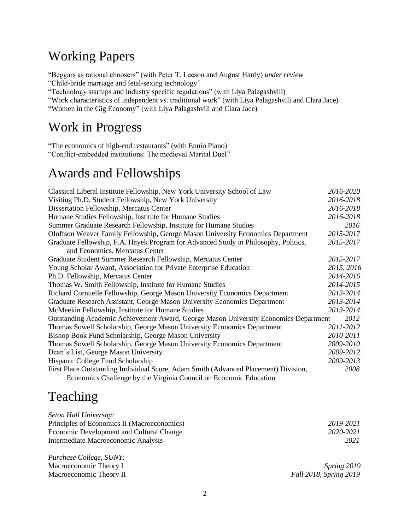#### Working Papers

"Beggars as rational choosers" (with Peter T. Leeson and August Hardy) *under review* "Child-bride marriage and fetal-sexing technology"

"Technology startups and industry specific regulations" (with Liya Palagashvili)

"Work characteristics of independent vs. traditional work" (with Liya Palagashvili and Clara Jace)

"Women in the Gig Economy" (with Liya Palagashvili and Clara Jace)

#### Work in Progress

"The economics of high-end restaurants" (with Ennio Piano) "Conflict-embedded institutions: The medieval Marital Duel"

## Awards and Fellowships

| Classical Liberal Institute Fellowship, New York University School of Law            | 2016-2020  |
|--------------------------------------------------------------------------------------|------------|
| Visiting Ph.D. Student Fellowship, New York University                               | 2016-2018  |
| Dissertation Fellowship, Mercatus Center                                             | 2016-2018  |
| Humane Studies Fellowship, Institute for Humane Studies                              | 2016-2018  |
| Summer Graduate Research Fellowship, Institute for Humane Studies                    | 2016       |
| Oloffson Weaver Family Fellowship, George Mason University Economics Department      | 2015-2017  |
| Graduate Fellowship, F.A. Hayek Program for Advanced Study in Philosophy, Politics,  | 2015-2017  |
| and Economics, Mercatus Center                                                       |            |
| Graduate Student Summer Research Fellowship, Mercatus Center                         | 2015-2017  |
| Young Scholar Award, Association for Private Enterprise Education                    | 2015, 2016 |
| Ph.D. Fellowship, Mercatus Center                                                    | 2014-2016  |
| Thomas W. Smith Fellowship, Institute for Humane Studies                             | 2014-2015  |
| Richard Cornuelle Fellowship, George Mason University Economics Department           | 2013-2014  |
| Graduate Research Assistant, George Mason University Economics Department            | 2013-2014  |
| McMeekin Fellowship, Institute for Humane Studies                                    | 2013-2014  |
| Outstanding Academic Achievement Award, George Mason University Economics Department | 2012       |
| Thomas Sowell Scholarship, George Mason University Economics Department              | 2011-2012  |
| Bishop Book Fund Scholarship, George Mason University                                | 2010-2011  |
| Thomas Sowell Scholarship, George Mason University Economics Department              | 2009-2010  |
| Dean's List, George Mason University                                                 | 2009-2012  |
| Hispanic College Fund Scholarship                                                    | 2009-2013  |
| First Place Outstanding Individual Score, Adam Smith (Advanced Placement) Division,  | 2008       |
| Economics Challenge by the Virginia Council on Economic Education                    |            |

## Teaching

*Purchase College, SUNY:*

| Seton Hall University:                      |           |
|---------------------------------------------|-----------|
| Principles of Economics II (Macroeconomics) | 2019-2021 |
| Economic Development and Cultural Change    | 2020-2021 |
| Intermediate Macroeconomic Analysis         | 2021      |
|                                             |           |

Macroeconomic Theory I *Spring 2019* Macroeconomic Theory II *Fall 2018, Spring 2019*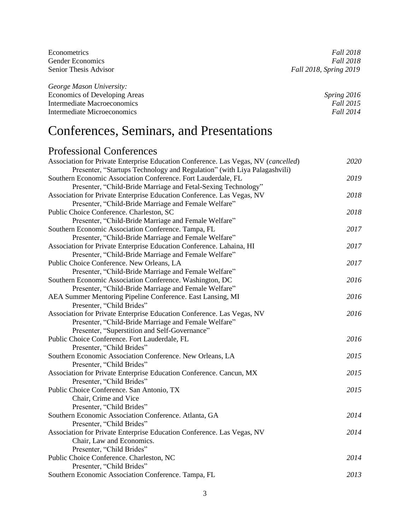| Econometrics                  | <i>Fall</i> 2018       |
|-------------------------------|------------------------|
| <b>Gender Economics</b>       | <i>Fall</i> 2018       |
| Senior Thesis Advisor         | Fall 2018, Spring 2019 |
| George Mason University:      |                        |
| Economics of Developing Areas | Spring 2016            |
| Intermediate Macroeconomics   | Fall 2015              |

Intermediate Microeconomics *Fall 2014*

# Conferences, Seminars, and Presentations

#### Professional Conferences

| Association for Private Enterprise Education Conference. Las Vegas, NV (cancelled) | 2020 |
|------------------------------------------------------------------------------------|------|
| Presenter, "Startups Technology and Regulation" (with Liya Palagashvili)           |      |
| Southern Economic Association Conference. Fort Lauderdale, FL                      | 2019 |
| Presenter, "Child-Bride Marriage and Fetal-Sexing Technology"                      |      |
| Association for Private Enterprise Education Conference. Las Vegas, NV             | 2018 |
| Presenter, "Child-Bride Marriage and Female Welfare"                               |      |
| Public Choice Conference. Charleston, SC                                           | 2018 |
| Presenter, "Child-Bride Marriage and Female Welfare"                               |      |
| Southern Economic Association Conference. Tampa, FL                                | 2017 |
| Presenter, "Child-Bride Marriage and Female Welfare"                               |      |
| Association for Private Enterprise Education Conference. Lahaina, HI               | 2017 |
| Presenter, "Child-Bride Marriage and Female Welfare"                               |      |
| Public Choice Conference. New Orleans, LA                                          | 2017 |
| Presenter, "Child-Bride Marriage and Female Welfare"                               |      |
| Southern Economic Association Conference. Washington, DC                           | 2016 |
| Presenter, "Child-Bride Marriage and Female Welfare"                               |      |
| AEA Summer Mentoring Pipeline Conference. East Lansing, MI                         | 2016 |
| Presenter, "Child Brides"                                                          |      |
| Association for Private Enterprise Education Conference. Las Vegas, NV             | 2016 |
| Presenter, "Child-Bride Marriage and Female Welfare"                               |      |
| Presenter, "Superstition and Self-Governance"                                      |      |
| Public Choice Conference. Fort Lauderdale, FL                                      | 2016 |
| Presenter, "Child Brides"                                                          |      |
| Southern Economic Association Conference. New Orleans, LA                          | 2015 |
| Presenter, "Child Brides"                                                          |      |
| Association for Private Enterprise Education Conference. Cancun, MX                | 2015 |
| Presenter, "Child Brides"                                                          |      |
| Public Choice Conference. San Antonio, TX                                          | 2015 |
| Chair, Crime and Vice                                                              |      |
| Presenter, "Child Brides"                                                          |      |
| Southern Economic Association Conference. Atlanta, GA                              | 2014 |
| Presenter, "Child Brides"                                                          |      |
| Association for Private Enterprise Education Conference. Las Vegas, NV             | 2014 |
| Chair, Law and Economics.                                                          |      |
| Presenter, "Child Brides"                                                          |      |
| Public Choice Conference. Charleston, NC                                           | 2014 |
| Presenter, "Child Brides"                                                          |      |
| Southern Economic Association Conference. Tampa, FL                                | 2013 |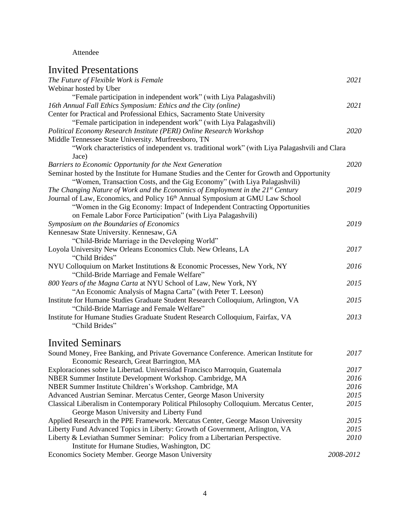#### Attendee

#### Invited Presentations

| The Future of Flexible Work is Female<br>Webinar hosted by Uber                                                                    | 2021      |
|------------------------------------------------------------------------------------------------------------------------------------|-----------|
| "Female participation in independent work" (with Liya Palagashvili)                                                                |           |
| 16th Annual Fall Ethics Symposium: Ethics and the City (online)                                                                    | 2021      |
| Center for Practical and Professional Ethics, Sacramento State University                                                          |           |
| "Female participation in independent work" (with Liya Palagashvili)                                                                |           |
| Political Economy Research Institute (PERI) Online Research Workshop                                                               | 2020      |
| Middle Tennessee State University. Murfreesboro, TN                                                                                |           |
| "Work characteristics of independent vs. traditional work" (with Liya Palagashvili and Clara<br>Jace)                              |           |
| Barriers to Economic Opportunity for the Next Generation                                                                           | 2020      |
| Seminar hosted by the Institute for Humane Studies and the Center for Growth and Opportunity                                       |           |
| "Women, Transaction Costs, and the Gig Economy" (with Liya Palagashvili)                                                           |           |
| The Changing Nature of Work and the Economics of Employment in the $21^{st}$ Century                                               | 2019      |
| Journal of Law, Economics, and Policy 16th Annual Symposium at GMU Law School                                                      |           |
| "Women in the Gig Economy: Impact of Independent Contracting Opportunities                                                         |           |
| on Female Labor Force Participation" (with Liya Palagashvili)                                                                      |           |
| Symposium on the Boundaries of Economics                                                                                           | 2019      |
| Kennesaw State University. Kennesaw, GA                                                                                            |           |
| "Child-Bride Marriage in the Developing World"                                                                                     |           |
| Loyola University New Orleans Economics Club. New Orleans, LA                                                                      | 2017      |
| "Child Brides"                                                                                                                     |           |
| NYU Colloquium on Market Institutions & Economic Processes, New York, NY<br>"Child-Bride Marriage and Female Welfare"              | 2016      |
| 800 Years of the Magna Carta at NYU School of Law, New York, NY                                                                    | 2015      |
| "An Economic Analysis of Magna Carta" (with Peter T. Leeson)                                                                       |           |
| Institute for Humane Studies Graduate Student Research Colloquium, Arlington, VA                                                   | 2015      |
| "Child-Bride Marriage and Female Welfare"                                                                                          |           |
| Institute for Humane Studies Graduate Student Research Colloquium, Fairfax, VA                                                     | 2013      |
| "Child Brides"                                                                                                                     |           |
| <b>Invited Seminars</b>                                                                                                            |           |
| Sound Money, Free Banking, and Private Governance Conference. American Institute for<br>Economic Research, Great Barrington, MA    | 2017      |
| Exploraciones sobre la Libertad. Universidad Francisco Marroquin, Guatemala                                                        | 2017      |
| NBER Summer Institute Development Workshop. Cambridge, MA                                                                          | 2016      |
| NBER Summer Institute Children's Workshop. Cambridge, MA                                                                           | 2016      |
| Advanced Austrian Seminar. Mercatus Center, George Mason University                                                                | 2015      |
| Classical Liberalism in Contemporary Political Philosophy Colloquium. Mercatus Center,<br>George Mason University and Liberty Fund | 2015      |
| Applied Research in the PPE Framework. Mercatus Center, George Mason University                                                    | 2015      |
| Liberty Fund Advanced Topics in Liberty: Growth of Government, Arlington, VA                                                       | 2015      |
| Liberty & Leviathan Summer Seminar: Policy from a Libertarian Perspective.                                                         | 2010      |
| Institute for Humane Studies, Washington, DC                                                                                       |           |
| Economics Society Member. George Mason University                                                                                  | 2008-2012 |
|                                                                                                                                    |           |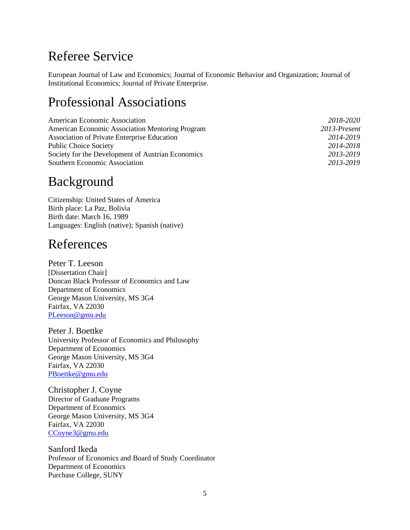#### Referee Service

European Journal of Law and Economics; Journal of Economic Behavior and Organization; Journal of Institutional Economics; Journal of Private Enterprise.

#### Professional Associations

| <b>American Economic Association</b>              | 2018-2020    |
|---------------------------------------------------|--------------|
| American Economic Association Mentoring Program   | 2013-Present |
| Association of Private Enterprise Education       | 2014-2019    |
| <b>Public Choice Society</b>                      | 2014-2018    |
| Society for the Development of Austrian Economics | 2013-2019    |
| Southern Economic Association                     | 2013-2019    |

#### Background

Citizenship: United States of America Birth place: La Paz, Bolivia Birth date: March 16, 1989 Languages: English (native); Spanish (native)

#### References

Peter T. Leeson [Dissertation Chair] Duncan Black Professor of Economics and Law Department of Economics George Mason University, MS 3G4 Fairfax, VA 22030 [PLeeson@gmu.edu](mailto:PLeeson@gmu.edu)

Peter J. Boettke University Professor of Economics and Philosophy Department of Economics George Mason University, MS 3G4 Fairfax, VA 22030 [PBoettke@gmu.edu](mailto:PBoettke@gmu.edu)

Christopher J. Coyne Director of Graduate Programs Department of Economics George Mason University, MS 3G4 Fairfax, VA 22030 [CCoyne3@gmu.edu](mailto:CCoyne3@gmu.edu)

Sanford Ikeda Professor of Economics and Board of Study Coordinator Department of Economics Purchase College, SUNY